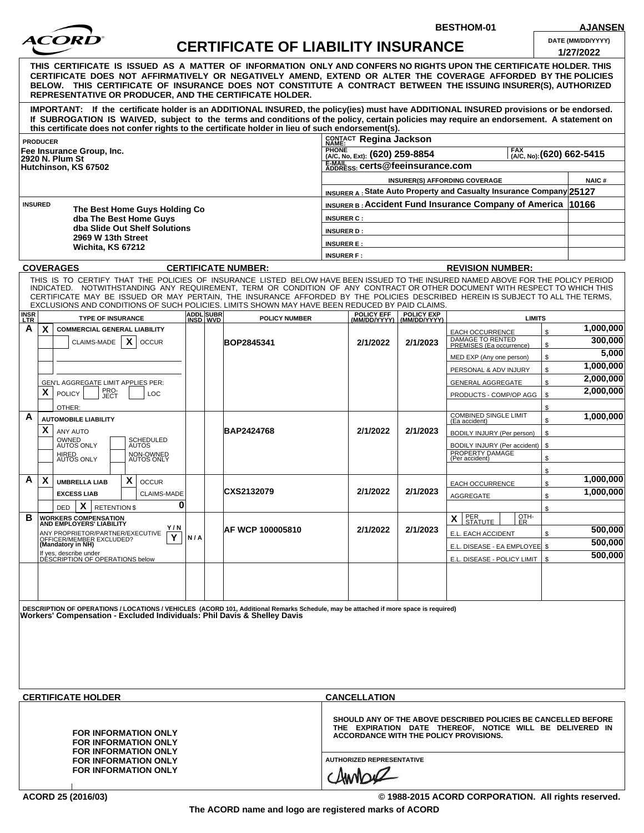

## **CERTIFICATE OF LIABILITY INSURANCE DATE (MM/DD/YYYY)**

**BESTHOM-01 AJANSEN**

|                                                                                                                                                                                                                                                                                                                                                                                                                                  |  |                                           |                                                                     |                                                                                    |                                                                                                                                                                             |            |                                               |               | 1/27/2022 |  |
|----------------------------------------------------------------------------------------------------------------------------------------------------------------------------------------------------------------------------------------------------------------------------------------------------------------------------------------------------------------------------------------------------------------------------------|--|-------------------------------------------|---------------------------------------------------------------------|------------------------------------------------------------------------------------|-----------------------------------------------------------------------------------------------------------------------------------------------------------------------------|------------|-----------------------------------------------|---------------|-----------|--|
| THIS  CERTIFICATE  IS  ISSUED  AS  A  MATTER  OF  INFORMATION  ONLY AND CONFERS NO RIGHTS UPON THE CERTIFICATE HOLDER. THIS<br>CERTIFICATE DOES NOT AFFIRMATIVELY OR NEGATIVELY AMEND, EXTEND OR ALTER THE COVERAGE AFFORDED BY THE POLICIES<br>BELOW. THIS CERTIFICATE OF INSURANCE DOES NOT CONSTITUTE A CONTRACT BETWEEN THE ISSUING INSURER(S), AUTHORIZED<br><b>REPRESENTATIVE OR PRODUCER, AND THE CERTIFICATE HOLDER.</b> |  |                                           |                                                                     |                                                                                    |                                                                                                                                                                             |            |                                               |               |           |  |
| IMPORTANT: If the certificate holder is an ADDITIONAL INSURED, the policy(ies) must have ADDITIONAL INSURED provisions or be endorsed.<br>If SUBROGATION IS WAIVED, subject to the terms and conditions of the policy, certain policies may require an endorsement. A statement on<br>this certificate does not confer rights to the certificate holder in lieu of such endorsement(s).                                          |  |                                           |                                                                     |                                                                                    |                                                                                                                                                                             |            |                                               |               |           |  |
| <b>PRODUCER</b>                                                                                                                                                                                                                                                                                                                                                                                                                  |  |                                           |                                                                     |                                                                                    | CONTACT Regina Jackson                                                                                                                                                      |            |                                               |               |           |  |
| Fee Insurance Group, Inc.                                                                                                                                                                                                                                                                                                                                                                                                        |  |                                           |                                                                     | <b>PHONE</b><br>FAX<br>(A/C, No, Ext): (620) 259-8854<br>[A/C, No): (620) 662-5415 |                                                                                                                                                                             |            |                                               |               |           |  |
| 2920 N. Plum St<br>Hutchinson, KS 67502                                                                                                                                                                                                                                                                                                                                                                                          |  | E-MAIL<br>ADDRESS: Certs@feeinsurance.com |                                                                     |                                                                                    |                                                                                                                                                                             |            |                                               |               |           |  |
|                                                                                                                                                                                                                                                                                                                                                                                                                                  |  |                                           | <b>NAIC#</b>                                                        |                                                                                    |                                                                                                                                                                             |            |                                               |               |           |  |
|                                                                                                                                                                                                                                                                                                                                                                                                                                  |  |                                           | INSURER A: State Auto Property and Casualty Insurance Company 25127 |                                                                                    |                                                                                                                                                                             |            |                                               |               |           |  |
| <b>INSURED</b>                                                                                                                                                                                                                                                                                                                                                                                                                   |  |                                           |                                                                     |                                                                                    |                                                                                                                                                                             |            |                                               |               |           |  |
| The Best Home Guys Holding Co<br>dba The Best Home Guys<br>dba Slide Out Shelf Solutions<br>2969 W 13th Street                                                                                                                                                                                                                                                                                                                   |  |                                           |                                                                     |                                                                                    | <b>INSURER B:</b> Accident Fund Insurance Company of America 10166<br><b>INSURER C:</b>                                                                                     |            |                                               |               |           |  |
|                                                                                                                                                                                                                                                                                                                                                                                                                                  |  |                                           |                                                                     |                                                                                    | <b>INSURER D:</b>                                                                                                                                                           |            |                                               |               |           |  |
|                                                                                                                                                                                                                                                                                                                                                                                                                                  |  |                                           |                                                                     |                                                                                    | <b>INSURER E:</b>                                                                                                                                                           |            |                                               |               |           |  |
| Wichita, KS 67212                                                                                                                                                                                                                                                                                                                                                                                                                |  |                                           |                                                                     | <b>INSURER F:</b>                                                                  |                                                                                                                                                                             |            |                                               |               |           |  |
| <b>COVERAGES</b>                                                                                                                                                                                                                                                                                                                                                                                                                 |  |                                           | <b>CERTIFICATE NUMBER:</b>                                          | <b>REVISION NUMBER:</b>                                                            |                                                                                                                                                                             |            |                                               |               |           |  |
| THIS IS TO CERTIFY THAT THE POLICIES OF INSURANCE LISTED BELOW HAVE BEEN ISSUED TO THE INSURED NAMED ABOVE FOR THE POLICY PERIOD                                                                                                                                                                                                                                                                                                 |  |                                           |                                                                     |                                                                                    |                                                                                                                                                                             |            |                                               |               |           |  |
| INDICATED. NOTWITHSTANDING ANY REQUIREMENT, TERM OR CONDITION OF ANY CONTRACT OR OTHER DOCUMENT WITH RESPECT TO WHICH THIS<br>CERTIFICATE MAY BE ISSUED OR MAY PERTAIN. THE INSURANCE AFFORDED BY THE POLICIES DESCRIBED HEREIN IS SUBJECT TO ALL THE TERMS.<br>EXCLUSIONS AND CONDITIONS OF SUCH POLICIES. LIMITS SHOWN MAY HAVE BEEN REDUCED BY PAID CLAIMS.                                                                   |  |                                           |                                                                     |                                                                                    |                                                                                                                                                                             |            |                                               |               |           |  |
| <b>INSR</b><br>LTR<br><b>TYPE OF INSURANCE</b>                                                                                                                                                                                                                                                                                                                                                                                   |  | <b>ADDL SUBR</b><br>INSD WVD              | <b>POLICY NUMBER</b>                                                |                                                                                    | <b>POLICY EFF</b><br>(MM/DD/YYYY) (MM/DD/YYYY)                                                                                                                              | POLICY EXP | <b>LIMITS</b>                                 |               |           |  |
| A<br>X<br><b>COMMERCIAL GENERAL LIABILITY</b>                                                                                                                                                                                                                                                                                                                                                                                    |  |                                           |                                                                     |                                                                                    |                                                                                                                                                                             |            | <b>EACH OCCURRENCE</b>                        | \$            | 1,000,000 |  |
| $\mathsf{x}$<br>CLAIMS-MADE<br><b>OCCUR</b>                                                                                                                                                                                                                                                                                                                                                                                      |  |                                           | BOP2845341                                                          |                                                                                    | 2/1/2022                                                                                                                                                                    | 2/1/2023   | DAMAGE TO RENTED<br>PREMISES (Ea occurrence)  | \$            | 300,000   |  |
|                                                                                                                                                                                                                                                                                                                                                                                                                                  |  |                                           |                                                                     |                                                                                    |                                                                                                                                                                             |            | MED EXP (Any one person)                      | \$            | 5,000     |  |
|                                                                                                                                                                                                                                                                                                                                                                                                                                  |  |                                           |                                                                     |                                                                                    |                                                                                                                                                                             |            | PERSONAL & ADV INJURY                         | \$            | 1,000,000 |  |
| GEN'L AGGREGATE LIMIT APPLIES PER:                                                                                                                                                                                                                                                                                                                                                                                               |  |                                           |                                                                     |                                                                                    |                                                                                                                                                                             |            | <b>GENERAL AGGREGATE</b>                      | \$            | 2,000,000 |  |
| PRO-<br>JECT<br>X<br><b>POLICY</b><br><b>LOC</b>                                                                                                                                                                                                                                                                                                                                                                                 |  |                                           |                                                                     |                                                                                    |                                                                                                                                                                             |            | PRODUCTS - COMP/OP AGG                        | ${\mathbb S}$ | 2,000,000 |  |
| OTHER:                                                                                                                                                                                                                                                                                                                                                                                                                           |  |                                           |                                                                     |                                                                                    |                                                                                                                                                                             |            |                                               | \$            |           |  |
| A<br><b>AUTOMOBILE LIABILITY</b>                                                                                                                                                                                                                                                                                                                                                                                                 |  |                                           |                                                                     |                                                                                    |                                                                                                                                                                             |            | <b>COMBINED SINGLE LIMIT</b><br>(Ea accident) | \$            | 1,000,000 |  |
| X<br><b>ANY AUTO</b>                                                                                                                                                                                                                                                                                                                                                                                                             |  |                                           | BAP2424768                                                          |                                                                                    | 2/1/2022                                                                                                                                                                    | 2/1/2023   | BODILY INJURY (Per person)                    | ${\mathbb S}$ |           |  |
| OWNED<br>AUTOS ONLY<br>SCHEDULED<br>AUTOS                                                                                                                                                                                                                                                                                                                                                                                        |  |                                           |                                                                     |                                                                                    |                                                                                                                                                                             |            | BODILY INJURY (Per accident)   \$             |               |           |  |
| HIRED<br>AUTOS ONLY<br>NON-OWNED<br>AUTOS ONLY                                                                                                                                                                                                                                                                                                                                                                                   |  |                                           |                                                                     |                                                                                    |                                                                                                                                                                             |            | PROPERTY DAMAGE<br>(Per accident)             | \$            |           |  |
|                                                                                                                                                                                                                                                                                                                                                                                                                                  |  |                                           |                                                                     |                                                                                    |                                                                                                                                                                             |            |                                               | \$            |           |  |
| A<br>X<br>X<br><b>UMBRELLA LIAB</b><br><b>OCCUR</b>                                                                                                                                                                                                                                                                                                                                                                              |  |                                           |                                                                     |                                                                                    |                                                                                                                                                                             |            | <b>EACH OCCURRENCE</b>                        | \$            | 1,000,000 |  |
| <b>EXCESS LIAB</b><br>CLAIMS-MADE                                                                                                                                                                                                                                                                                                                                                                                                |  |                                           | CXS2132079                                                          |                                                                                    | 2/1/2022                                                                                                                                                                    | 2/1/2023   | <b>AGGREGATE</b>                              | \$            | 1,000,000 |  |
| 0<br>$X$ RETENTION \$<br><b>DED</b>                                                                                                                                                                                                                                                                                                                                                                                              |  |                                           |                                                                     |                                                                                    |                                                                                                                                                                             |            |                                               | \$            |           |  |
| в<br><b>WORKERS COMPENSATION</b><br>AND EMPLOYERS' LIABILITY                                                                                                                                                                                                                                                                                                                                                                     |  |                                           |                                                                     |                                                                                    |                                                                                                                                                                             |            | $X$ PER<br>OTH-<br>$\sim$   Statute  <br>1 ER |               |           |  |
| Y/N<br>ANY PROPRIETOR/PARTNER/EXECUTIVE<br>Υ<br>OFFICER/MEMBER EXCLUDED?<br>(Mandatory in NH)                                                                                                                                                                                                                                                                                                                                    |  | N/A                                       | AF WCP 100005810                                                    | 2/1/2022                                                                           |                                                                                                                                                                             | 2/1/2023   | E.L. EACH ACCIDENT                            | \$            | 500,000   |  |
|                                                                                                                                                                                                                                                                                                                                                                                                                                  |  |                                           |                                                                     |                                                                                    |                                                                                                                                                                             |            | E.L. DISEASE - EA EMPLOYEE \$                 |               | 500,000   |  |
| If yes, describe under<br>DESCRIPTION OF OPERATIONS below                                                                                                                                                                                                                                                                                                                                                                        |  |                                           |                                                                     |                                                                                    |                                                                                                                                                                             |            | E.L. DISEASE - POLICY LIMIT   \$              |               | 500,000   |  |
|                                                                                                                                                                                                                                                                                                                                                                                                                                  |  |                                           |                                                                     |                                                                                    |                                                                                                                                                                             |            |                                               |               |           |  |
|                                                                                                                                                                                                                                                                                                                                                                                                                                  |  |                                           |                                                                     |                                                                                    |                                                                                                                                                                             |            |                                               |               |           |  |
| DESCRIPTION OF OPERATIONS / LOCATIONS / VEHICLES (ACORD 101, Additional Remarks Schedule, may be attached if more space is required)<br>Workers' Compensation - Excluded Individuals: Phil Davis & Shelley Davis                                                                                                                                                                                                                 |  |                                           |                                                                     |                                                                                    |                                                                                                                                                                             |            |                                               |               |           |  |
|                                                                                                                                                                                                                                                                                                                                                                                                                                  |  |                                           |                                                                     |                                                                                    |                                                                                                                                                                             |            |                                               |               |           |  |
|                                                                                                                                                                                                                                                                                                                                                                                                                                  |  |                                           |                                                                     |                                                                                    |                                                                                                                                                                             |            |                                               |               |           |  |
|                                                                                                                                                                                                                                                                                                                                                                                                                                  |  |                                           |                                                                     |                                                                                    |                                                                                                                                                                             |            |                                               |               |           |  |
|                                                                                                                                                                                                                                                                                                                                                                                                                                  |  |                                           |                                                                     |                                                                                    |                                                                                                                                                                             |            |                                               |               |           |  |
|                                                                                                                                                                                                                                                                                                                                                                                                                                  |  |                                           |                                                                     |                                                                                    |                                                                                                                                                                             |            |                                               |               |           |  |
|                                                                                                                                                                                                                                                                                                                                                                                                                                  |  |                                           |                                                                     |                                                                                    |                                                                                                                                                                             |            |                                               |               |           |  |
| <b>CERTIFICATE HOLDER</b>                                                                                                                                                                                                                                                                                                                                                                                                        |  |                                           |                                                                     | <b>CANCELLATION</b>                                                                |                                                                                                                                                                             |            |                                               |               |           |  |
| <b>FOR INFORMATION ONLY</b><br><b>FOR INFORMATION ONLY</b><br><b>FOR INFORMATION ONLY</b>                                                                                                                                                                                                                                                                                                                                        |  |                                           |                                                                     |                                                                                    | SHOULD ANY OF THE ABOVE DESCRIBED POLICIES BE CANCELLED BEFORE<br>THE EXPIRATION DATE THEREOF, NOTICE WILL BE DELIVERED IN<br><b>ACCORDANCE WITH THE POLICY PROVISIONS.</b> |            |                                               |               |           |  |
|                                                                                                                                                                                                                                                                                                                                                                                                                                  |  |                                           |                                                                     |                                                                                    |                                                                                                                                                                             |            |                                               |               |           |  |
| <b>FOR INFORMATION ONLY</b><br><b>FOR INFORMATION ONLY</b>                                                                                                                                                                                                                                                                                                                                                                       |  |                                           |                                                                     | <b>AUTHORIZED REPRESENTATIVE</b>                                                   |                                                                                                                                                                             |            |                                               |               |           |  |
|                                                                                                                                                                                                                                                                                                                                                                                                                                  |  |                                           |                                                                     |                                                                                    |                                                                                                                                                                             |            |                                               |               |           |  |
|                                                                                                                                                                                                                                                                                                                                                                                                                                  |  |                                           |                                                                     |                                                                                    |                                                                                                                                                                             |            |                                               |               |           |  |

ACORD 25 (2016/03)<br>ACORD 25 (2016/03)<br>The ACORD Served stress of the Corporation of the Corporation of the Corporation of the Corporation of the Corporation of the Corporation of the Corporation of the Corporation of the